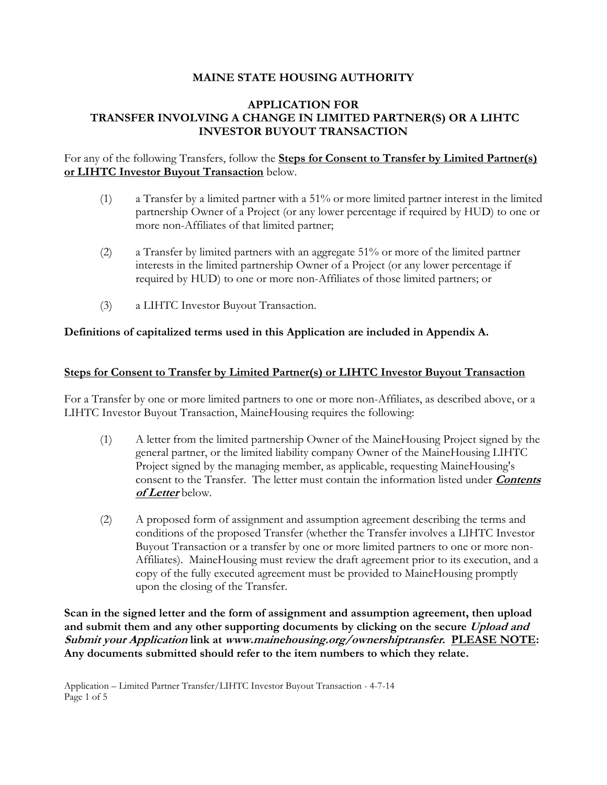### **MAINE STATE HOUSING AUTHORITY**

### **APPLICATION FOR TRANSFER INVOLVING A CHANGE IN LIMITED PARTNER(S) OR A LIHTC INVESTOR BUYOUT TRANSACTION**

### For any of the following Transfers, follow the **Steps for Consent to Transfer by Limited Partner(s) or LIHTC Investor Buyout Transaction** below.

- (1) a Transfer by a limited partner with a 51% or more limited partner interest in the limited partnership Owner of a Project (or any lower percentage if required by HUD) to one or more non-Affiliates of that limited partner;
- (2) a Transfer by limited partners with an aggregate 51% or more of the limited partner interests in the limited partnership Owner of a Project (or any lower percentage if required by HUD) to one or more non-Affiliates of those limited partners; or
- (3) a LIHTC Investor Buyout Transaction.

### **Definitions of capitalized terms used in this Application are included in Appendix A.**

### **Steps for Consent to Transfer by Limited Partner(s) or LIHTC Investor Buyout Transaction**

For a Transfer by one or more limited partners to one or more non-Affiliates, as described above, or a LIHTC Investor Buyout Transaction, MaineHousing requires the following:

- (1) A letter from the limited partnership Owner of the MaineHousing Project signed by the general partner, or the limited liability company Owner of the MaineHousing LIHTC Project signed by the managing member, as applicable, requesting MaineHousing's consent to the Transfer. The letter must contain the information listed under **Contents of Letter** below.
- (2) A proposed form of assignment and assumption agreement describing the terms and conditions of the proposed Transfer (whether the Transfer involves a LIHTC Investor Buyout Transaction or a transfer by one or more limited partners to one or more non-Affiliates). MaineHousing must review the draft agreement prior to its execution, and a copy of the fully executed agreement must be provided to MaineHousing promptly upon the closing of the Transfer.

**Scan in the signed letter and the form of assignment and assumption agreement, then upload and submit them and any other supporting documents by clicking on the secure Upload and Submit your Application link at www.mainehousing.org/ownershiptransfer. PLEASE NOTE: Any documents submitted should refer to the item numbers to which they relate.**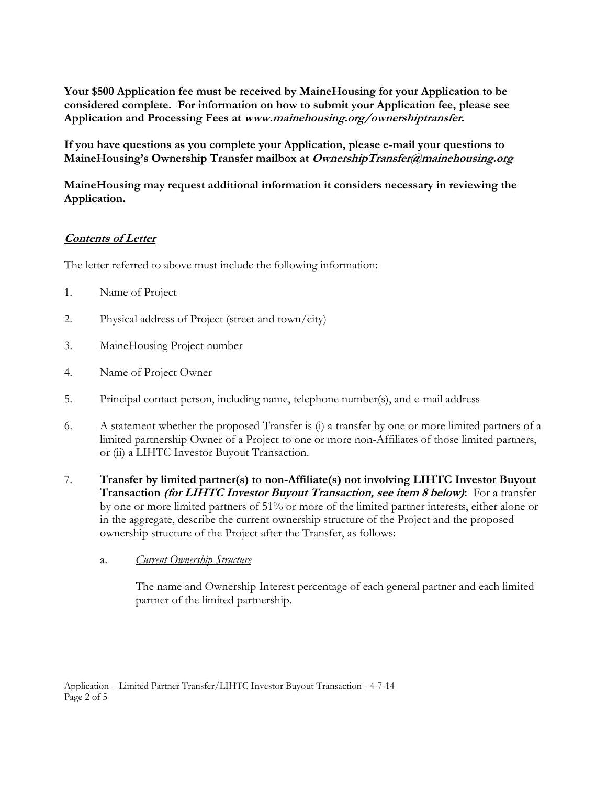**Your \$500 Application fee must be received by MaineHousing for your Application to be considered complete. For information on how to submit your Application fee, please see Application and Processing Fees at www.mainehousing.org/ownershiptransfer.**

**If you have questions as you complete your Application, please e-mail your questions to MaineHousing's Ownership Transfer mailbox at OwnershipTransfer@mainehousing.org**

**MaineHousing may request additional information it considers necessary in reviewing the Application.**

# **Contents of Letter**

The letter referred to above must include the following information:

- 1. Name of Project
- 2. Physical address of Project (street and town/city)
- 3. MaineHousing Project number
- 4. Name of Project Owner
- 5. Principal contact person, including name, telephone number(s), and e-mail address
- 6. A statement whether the proposed Transfer is (i) a transfer by one or more limited partners of a limited partnership Owner of a Project to one or more non-Affiliates of those limited partners, or (ii) a LIHTC Investor Buyout Transaction.
- 7. **Transfer by limited partner(s) to non-Affiliate(s) not involving LIHTC Investor Buyout Transaction (for LIHTC Investor Buyout Transaction, see item 8 below):** For a transfer by one or more limited partners of 51% or more of the limited partner interests, either alone or in the aggregate, describe the current ownership structure of the Project and the proposed ownership structure of the Project after the Transfer, as follows:

## a. *Current Ownership Structure*

The name and Ownership Interest percentage of each general partner and each limited partner of the limited partnership.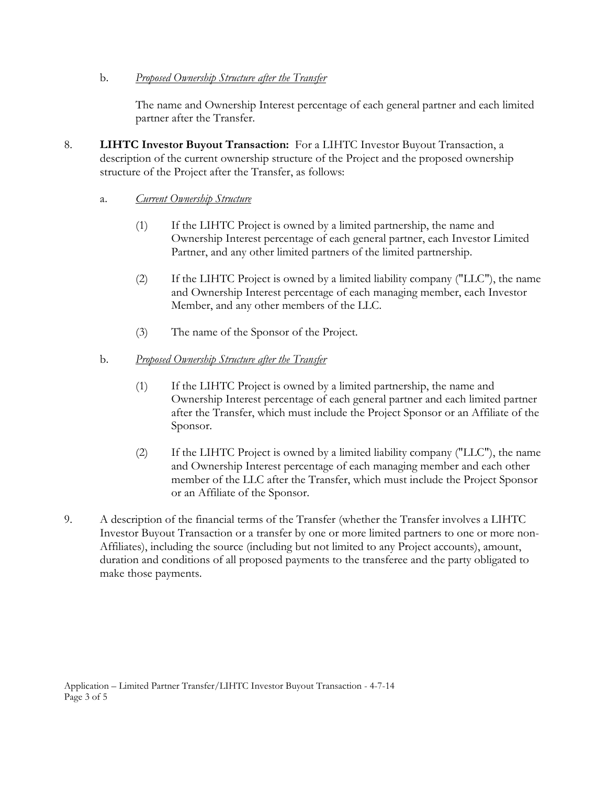### b. *Proposed Ownership Structure after the Transfer*

The name and Ownership Interest percentage of each general partner and each limited partner after the Transfer.

8. **LIHTC Investor Buyout Transaction:** For a LIHTC Investor Buyout Transaction, a description of the current ownership structure of the Project and the proposed ownership structure of the Project after the Transfer, as follows:

### a. *Current Ownership Structure*

- (1) If the LIHTC Project is owned by a limited partnership, the name and Ownership Interest percentage of each general partner, each Investor Limited Partner, and any other limited partners of the limited partnership.
- (2) If the LIHTC Project is owned by a limited liability company ("LLC"), the name and Ownership Interest percentage of each managing member, each Investor Member, and any other members of the LLC.
- (3) The name of the Sponsor of the Project.

## b. *Proposed Ownership Structure after the Transfer*

- (1) If the LIHTC Project is owned by a limited partnership, the name and Ownership Interest percentage of each general partner and each limited partner after the Transfer, which must include the Project Sponsor or an Affiliate of the Sponsor.
- (2) If the LIHTC Project is owned by a limited liability company ("LLC"), the name and Ownership Interest percentage of each managing member and each other member of the LLC after the Transfer, which must include the Project Sponsor or an Affiliate of the Sponsor.
- 9. A description of the financial terms of the Transfer (whether the Transfer involves a LIHTC Investor Buyout Transaction or a transfer by one or more limited partners to one or more non-Affiliates), including the source (including but not limited to any Project accounts), amount, duration and conditions of all proposed payments to the transferee and the party obligated to make those payments.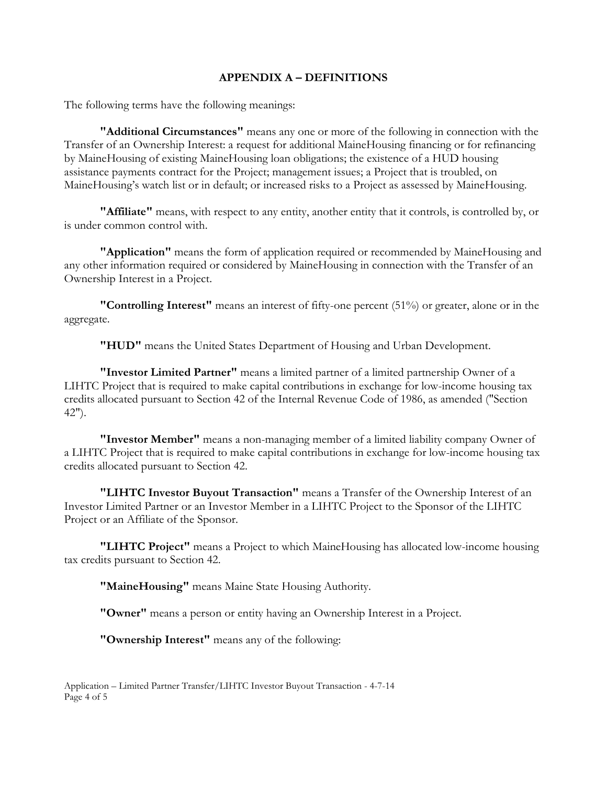#### **APPENDIX A – DEFINITIONS**

The following terms have the following meanings:

**"Additional Circumstances"** means any one or more of the following in connection with the Transfer of an Ownership Interest: a request for additional MaineHousing financing or for refinancing by MaineHousing of existing MaineHousing loan obligations; the existence of a HUD housing assistance payments contract for the Project; management issues; a Project that is troubled, on MaineHousing's watch list or in default; or increased risks to a Project as assessed by MaineHousing.

**"Affiliate"** means, with respect to any entity, another entity that it controls, is controlled by, or is under common control with.

**"Application"** means the form of application required or recommended by MaineHousing and any other information required or considered by MaineHousing in connection with the Transfer of an Ownership Interest in a Project.

**"Controlling Interest"** means an interest of fifty-one percent (51%) or greater, alone or in the aggregate.

**"HUD"** means the United States Department of Housing and Urban Development.

**"Investor Limited Partner"** means a limited partner of a limited partnership Owner of a LIHTC Project that is required to make capital contributions in exchange for low-income housing tax credits allocated pursuant to Section 42 of the Internal Revenue Code of 1986, as amended ("Section 42").

**"Investor Member"** means a non-managing member of a limited liability company Owner of a LIHTC Project that is required to make capital contributions in exchange for low-income housing tax credits allocated pursuant to Section 42.

**"LIHTC Investor Buyout Transaction"** means a Transfer of the Ownership Interest of an Investor Limited Partner or an Investor Member in a LIHTC Project to the Sponsor of the LIHTC Project or an Affiliate of the Sponsor.

**"LIHTC Project"** means a Project to which MaineHousing has allocated low-income housing tax credits pursuant to Section 42.

**"MaineHousing"** means Maine State Housing Authority.

**"Owner"** means a person or entity having an Ownership Interest in a Project.

**"Ownership Interest"** means any of the following:

Application – Limited Partner Transfer/LIHTC Investor Buyout Transaction - 4-7-14 Page 4 of 5